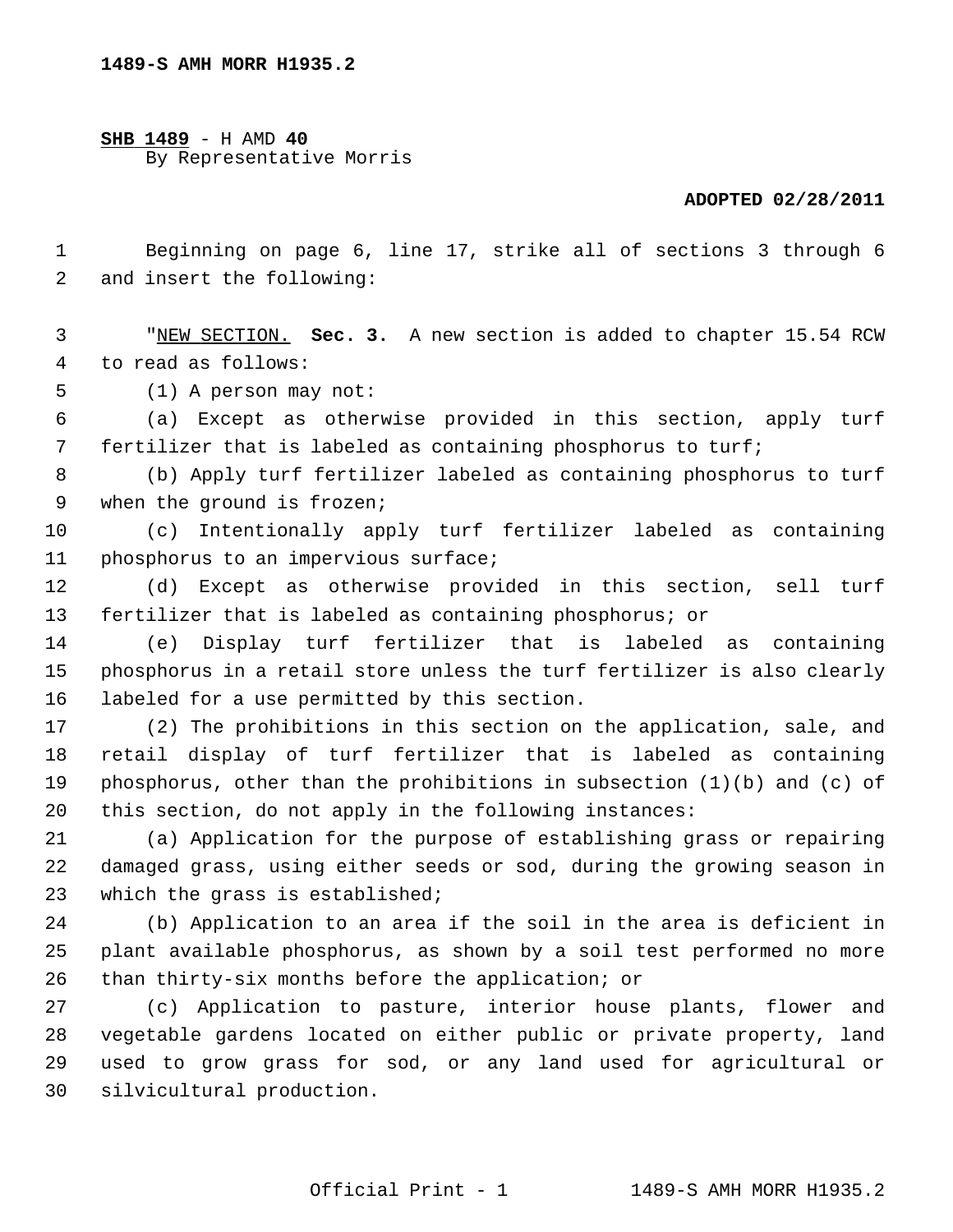**SHB 1489** - H AMD **40** By Representative Morris

## **ADOPTED 02/28/2011**

 1 Beginning on page 6, line 17, strike all of sections 3 through 6 2 and insert the following:

 3 "NEW SECTION. **Sec. 3.** A new section is added to chapter 15.54 RCW 4 to read as follows:

5 (1) A person may not:

 6 (a) Except as otherwise provided in this section, apply turf 7 fertilizer that is labeled as containing phosphorus to turf;

 8 (b) Apply turf fertilizer labeled as containing phosphorus to turf 9 when the ground is frozen;

10 (c) Intentionally apply turf fertilizer labeled as containing 11 phosphorus to an impervious surface;

12 (d) Except as otherwise provided in this section, sell turf 13 fertilizer that is labeled as containing phosphorus; or

14 (e) Display turf fertilizer that is labeled as containing 15 phosphorus in a retail store unless the turf fertilizer is also clearly 16 labeled for a use permitted by this section.

17 (2) The prohibitions in this section on the application, sale, and 18 retail display of turf fertilizer that is labeled as containing 19 phosphorus, other than the prohibitions in subsection (1)(b) and (c) of 20 this section, do not apply in the following instances:

21 (a) Application for the purpose of establishing grass or repairing 22 damaged grass, using either seeds or sod, during the growing season in 23 which the grass is established;

24 (b) Application to an area if the soil in the area is deficient in 25 plant available phosphorus, as shown by a soil test performed no more 26 than thirty-six months before the application; or

27 (c) Application to pasture, interior house plants, flower and 28 vegetable gardens located on either public or private property, land 29 used to grow grass for sod, or any land used for agricultural or 30 silvicultural production.